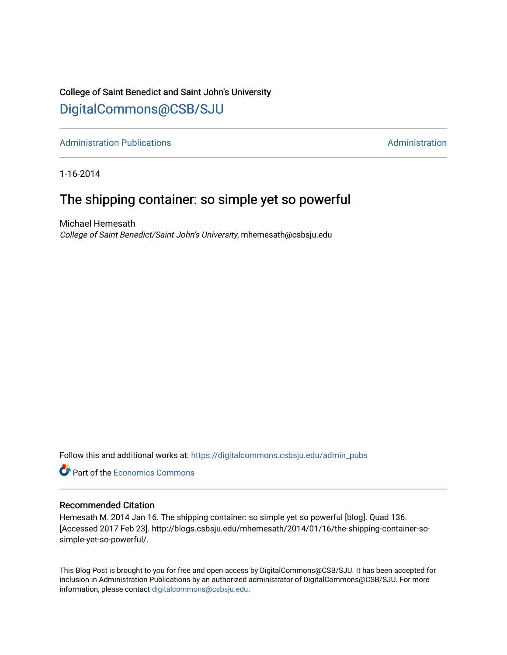## College of Saint Benedict and Saint John's University

### [DigitalCommons@CSB/SJU](https://digitalcommons.csbsju.edu/)

[Administration Publications](https://digitalcommons.csbsju.edu/admin_pubs) **Administration** Administration

1-16-2014

### The shipping container: so simple yet so powerful

Michael Hemesath College of Saint Benedict/Saint John's University, mhemesath@csbsju.edu

Follow this and additional works at: [https://digitalcommons.csbsju.edu/admin\\_pubs](https://digitalcommons.csbsju.edu/admin_pubs?utm_source=digitalcommons.csbsju.edu%2Fadmin_pubs%2F58&utm_medium=PDF&utm_campaign=PDFCoverPages)

**Part of the [Economics Commons](http://network.bepress.com/hgg/discipline/340?utm_source=digitalcommons.csbsju.edu%2Fadmin_pubs%2F58&utm_medium=PDF&utm_campaign=PDFCoverPages)** 

#### Recommended Citation

Hemesath M. 2014 Jan 16. The shipping container: so simple yet so powerful [blog]. Quad 136. [Accessed 2017 Feb 23]. http://blogs.csbsju.edu/mhemesath/2014/01/16/the-shipping-container-sosimple-yet-so-powerful/.

This Blog Post is brought to you for free and open access by DigitalCommons@CSB/SJU. It has been accepted for inclusion in Administration Publications by an authorized administrator of DigitalCommons@CSB/SJU. For more information, please contact [digitalcommons@csbsju.edu.](mailto:digitalcommons@csbsju.edu)